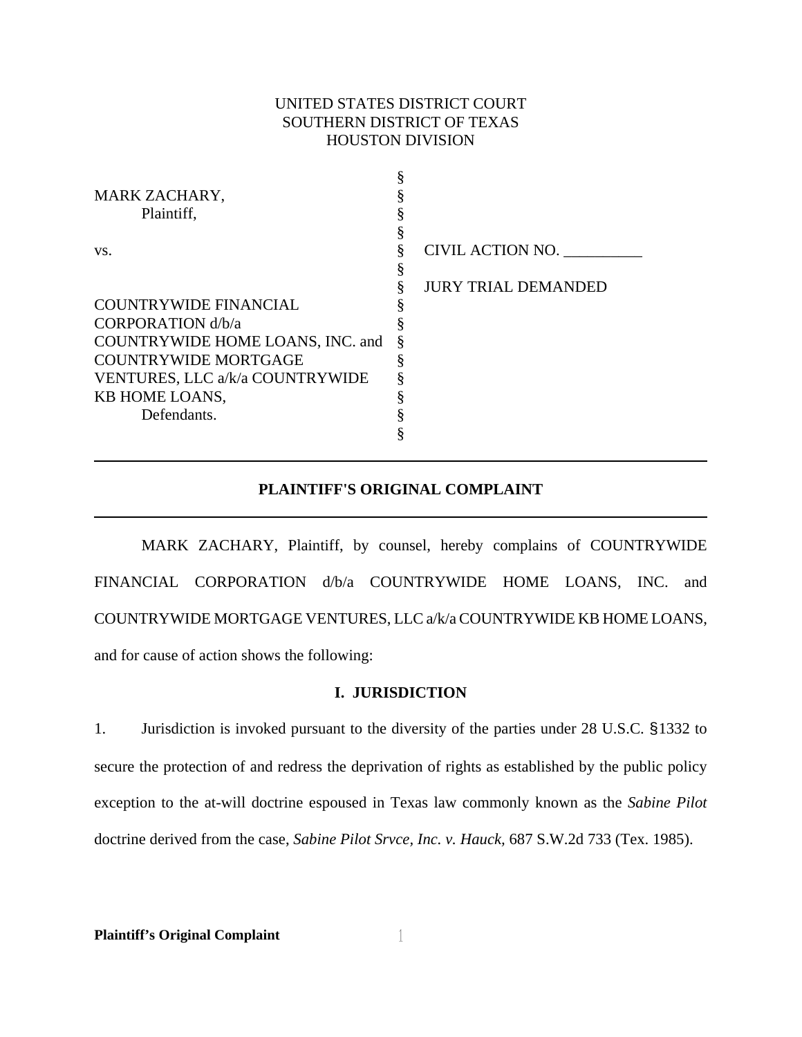# UNITED STATES DISTRICT COURT SOUTHERN DISTRICT OF TEXAS HOUSTON DIVISION

| MARK ZACHARY,                    |                            |
|----------------------------------|----------------------------|
| Plaintiff,                       |                            |
|                                  |                            |
| VS.                              | CIVIL ACTION NO.           |
|                                  |                            |
|                                  | <b>JURY TRIAL DEMANDED</b> |
| <b>COUNTRYWIDE FINANCIAL</b>     |                            |
| CORPORATION d/b/a                |                            |
| COUNTRYWIDE HOME LOANS, INC. and |                            |
| <b>COUNTRYWIDE MORTGAGE</b>      |                            |
| VENTURES, LLC a/k/a COUNTRYWIDE  |                            |
| KB HOME LOANS,                   |                            |
| Defendants.                      |                            |
|                                  |                            |
|                                  |                            |

# **PLAINTIFF'S ORIGINAL COMPLAINT**

MARK ZACHARY, Plaintiff, by counsel, hereby complains of COUNTRYWIDE FINANCIAL CORPORATION d/b/a COUNTRYWIDE HOME LOANS, INC. and COUNTRYWIDE MORTGAGE VENTURES, LLC a/k/a COUNTRYWIDE KB HOME LOANS, and for cause of action shows the following:

## **I. JURISDICTION**

1. Jurisdiction is invoked pursuant to the diversity of the parties under 28 U.S.C. §1332 to secure the protection of and redress the deprivation of rights as established by the public policy exception to the at-will doctrine espoused in Texas law commonly known as the *Sabine Pilot*  doctrine derived from the case, *Sabine Pilot Srvce, Inc. v. Hauck,* 687 S.W.2d 733 (Tex. 1985).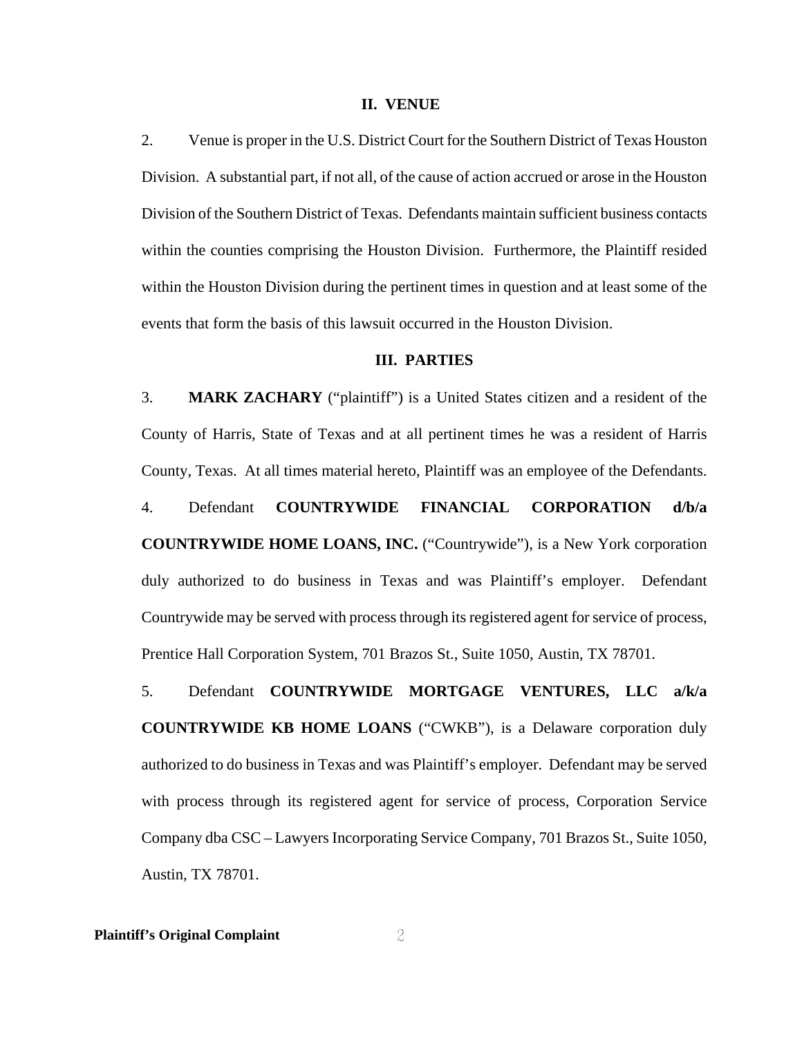#### **II. VENUE**

2. Venue is proper in the U.S. District Court for the Southern District of Texas Houston Division. A substantial part, if not all, of the cause of action accrued or arose in the Houston Division of the Southern District of Texas. Defendants maintain sufficient business contacts within the counties comprising the Houston Division. Furthermore, the Plaintiff resided within the Houston Division during the pertinent times in question and at least some of the events that form the basis of this lawsuit occurred in the Houston Division.

### **III. PARTIES**

3. **MARK ZACHARY** ("plaintiff") is a United States citizen and a resident of the County of Harris, State of Texas and at all pertinent times he was a resident of Harris County, Texas. At all times material hereto, Plaintiff was an employee of the Defendants.

4. Defendant **COUNTRYWIDE FINANCIAL CORPORATION d/b/a COUNTRYWIDE HOME LOANS, INC.** ("Countrywide"), is a New York corporation duly authorized to do business in Texas and was Plaintiff's employer. Defendant Countrywide may be served with process through its registered agent for service of process, Prentice Hall Corporation System, 701 Brazos St., Suite 1050, Austin, TX 78701.

5. Defendant **COUNTRYWIDE MORTGAGE VENTURES, LLC a/k/a COUNTRYWIDE KB HOME LOANS** ("CWKB"), is a Delaware corporation duly authorized to do business in Texas and was Plaintiff's employer. Defendant may be served with process through its registered agent for service of process, Corporation Service Company dba CSC – Lawyers Incorporating Service Company, 701 Brazos St., Suite 1050, Austin, TX 78701.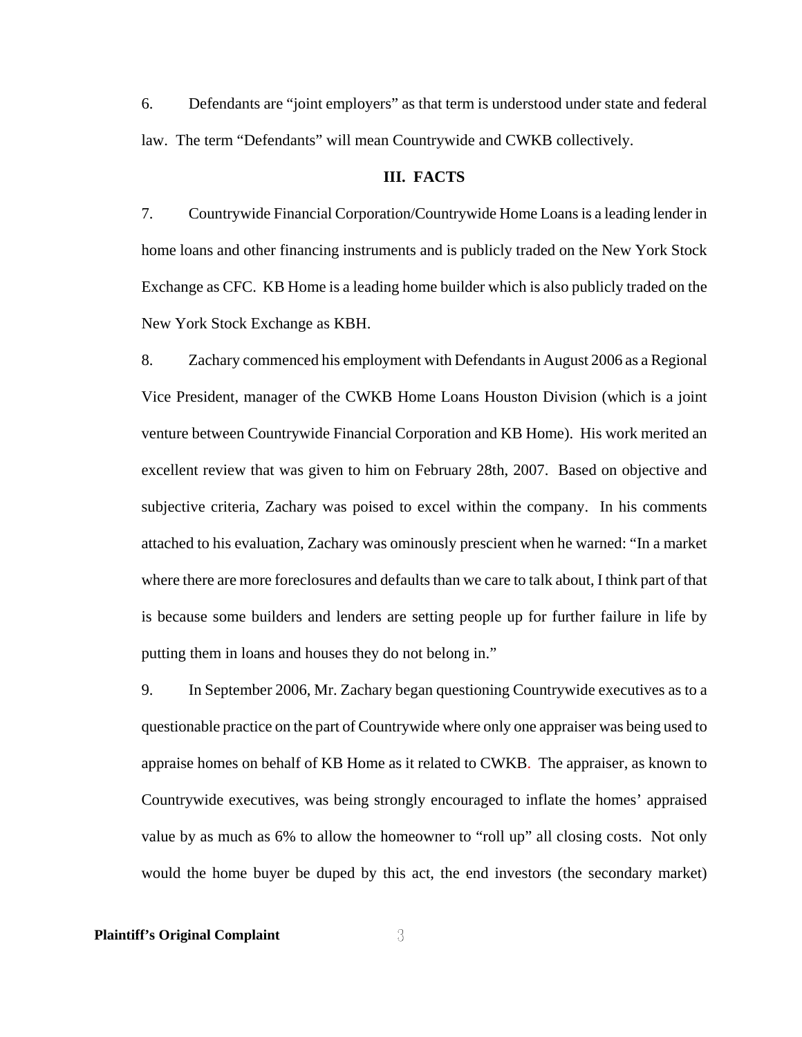6. Defendants are "joint employers" as that term is understood under state and federal law. The term "Defendants" will mean Countrywide and CWKB collectively.

#### **III. FACTS**

7. Countrywide Financial Corporation/Countrywide Home Loans is a leading lender in home loans and other financing instruments and is publicly traded on the New York Stock Exchange as CFC. KB Home is a leading home builder which is also publicly traded on the New York Stock Exchange as KBH.

8. Zachary commenced his employment with Defendants in August 2006 as a Regional Vice President, manager of the CWKB Home Loans Houston Division (which is a joint venture between Countrywide Financial Corporation and KB Home). His work merited an excellent review that was given to him on February 28th, 2007. Based on objective and subjective criteria, Zachary was poised to excel within the company. In his comments attached to his evaluation, Zachary was ominously prescient when he warned: "In a market where there are more foreclosures and defaults than we care to talk about, I think part of that is because some builders and lenders are setting people up for further failure in life by putting them in loans and houses they do not belong in."

9. In September 2006, Mr. Zachary began questioning Countrywide executives as to a questionable practice on the part of Countrywide where only one appraiser was being used to appraise homes on behalf of KB Home as it related to CWKB. The appraiser, as known to Countrywide executives, was being strongly encouraged to inflate the homes' appraised value by as much as 6% to allow the homeowner to "roll up" all closing costs. Not only would the home buyer be duped by this act, the end investors (the secondary market)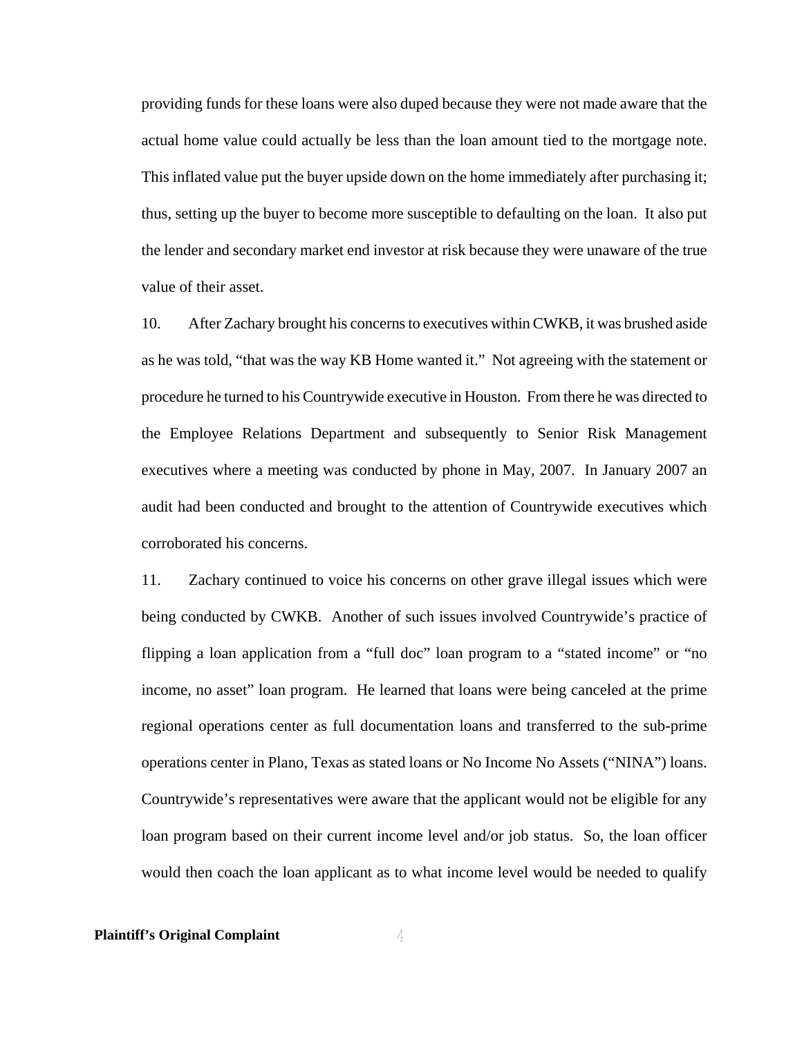providing funds for these loans were also duped because they were not made aware that the actual home value could actually be less than the loan amount tied to the mortgage note. This inflated value put the buyer upside down on the home immediately after purchasing it; thus, setting up the buyer to become more susceptible to defaulting on the loan. It also put the lender and secondary market end investor at risk because they were unaware of the true value of their asset.

10. After Zachary brought his concerns to executives within CWKB, it was brushed aside as he was told, "that was the way KB Home wanted it." Not agreeing with the statement or procedure he turned to his Countrywide executive in Houston. From there he was directed to the Employee Relations Department and subsequently to Senior Risk Management executives where a meeting was conducted by phone in May, 2007. In January 2007 an audit had been conducted and brought to the attention of Countrywide executives which corroborated his concerns.

11. Zachary continued to voice his concerns on other grave illegal issues which were being conducted by CWKB. Another of such issues involved Countrywide's practice of flipping a loan application from a "full doc" loan program to a "stated income" or "no income, no asset" loan program. He learned that loans were being canceled at the prime regional operations center as full documentation loans and transferred to the sub-prime operations center in Plano, Texas as stated loans or No Income No Assets ("NINA") loans. Countrywide's representatives were aware that the applicant would not be eligible for any loan program based on their current income level and/or job status. So, the loan officer would then coach the loan applicant as to what income level would be needed to qualify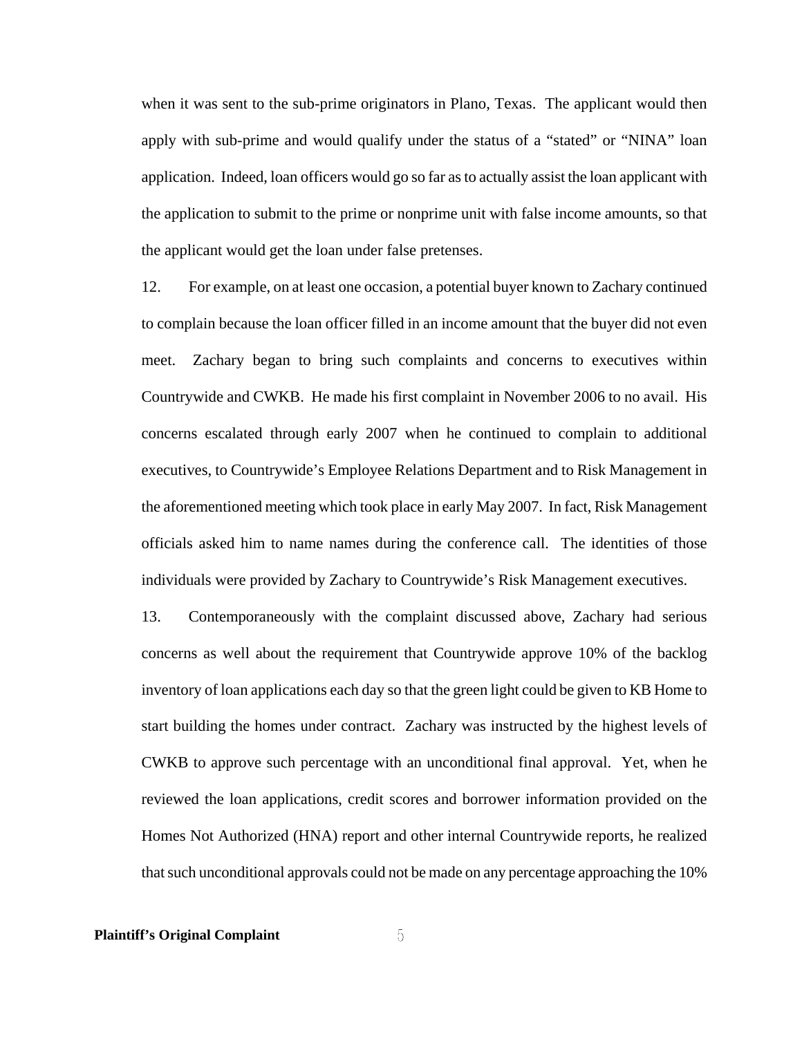when it was sent to the sub-prime originators in Plano, Texas. The applicant would then apply with sub-prime and would qualify under the status of a "stated" or "NINA" loan application. Indeed, loan officers would go so far as to actually assist the loan applicant with the application to submit to the prime or nonprime unit with false income amounts, so that the applicant would get the loan under false pretenses.

12. For example, on at least one occasion, a potential buyer known to Zachary continued to complain because the loan officer filled in an income amount that the buyer did not even meet. Zachary began to bring such complaints and concerns to executives within Countrywide and CWKB. He made his first complaint in November 2006 to no avail. His concerns escalated through early 2007 when he continued to complain to additional executives, to Countrywide's Employee Relations Department and to Risk Management in the aforementioned meeting which took place in early May 2007. In fact, Risk Management officials asked him to name names during the conference call. The identities of those individuals were provided by Zachary to Countrywide's Risk Management executives.

13. Contemporaneously with the complaint discussed above, Zachary had serious concerns as well about the requirement that Countrywide approve 10% of the backlog inventory of loan applications each day so that the green light could be given to KB Home to start building the homes under contract. Zachary was instructed by the highest levels of CWKB to approve such percentage with an unconditional final approval. Yet, when he reviewed the loan applications, credit scores and borrower information provided on the Homes Not Authorized (HNA) report and other internal Countrywide reports, he realized that such unconditional approvals could not be made on any percentage approaching the 10%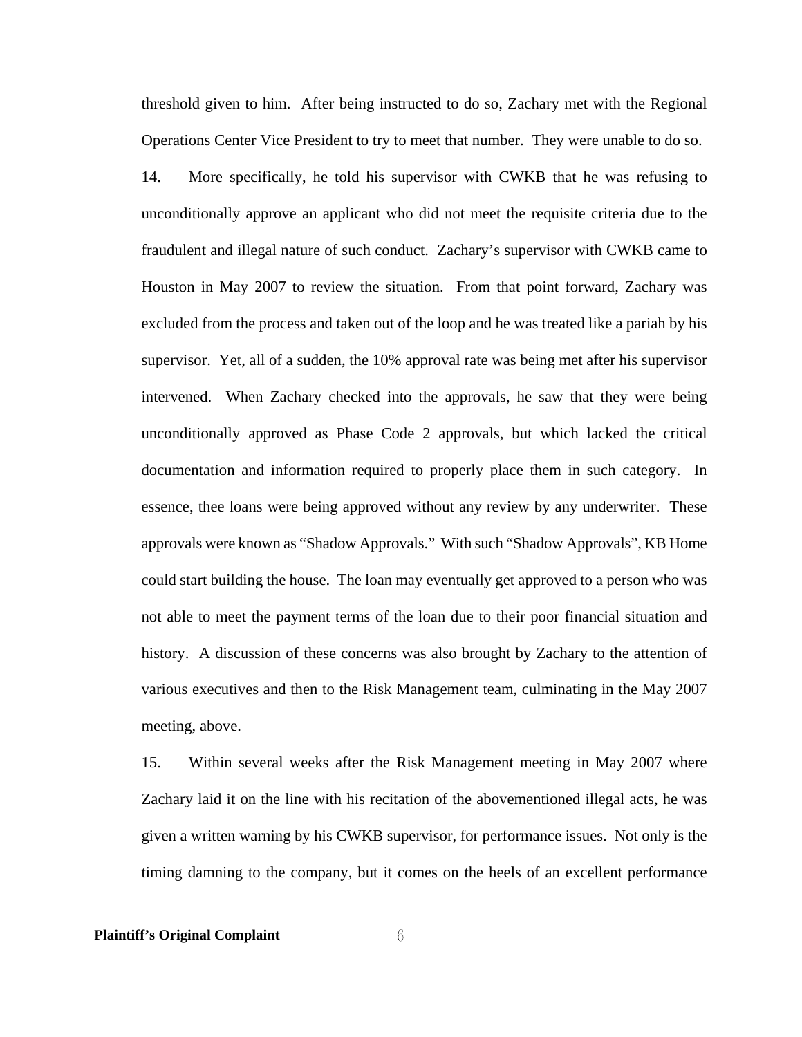threshold given to him. After being instructed to do so, Zachary met with the Regional Operations Center Vice President to try to meet that number. They were unable to do so.

14. More specifically, he told his supervisor with CWKB that he was refusing to unconditionally approve an applicant who did not meet the requisite criteria due to the fraudulent and illegal nature of such conduct. Zachary's supervisor with CWKB came to Houston in May 2007 to review the situation. From that point forward, Zachary was excluded from the process and taken out of the loop and he was treated like a pariah by his supervisor. Yet, all of a sudden, the 10% approval rate was being met after his supervisor intervened. When Zachary checked into the approvals, he saw that they were being unconditionally approved as Phase Code 2 approvals, but which lacked the critical documentation and information required to properly place them in such category. In essence, thee loans were being approved without any review by any underwriter. These approvals were known as "Shadow Approvals." With such "Shadow Approvals", KB Home could start building the house. The loan may eventually get approved to a person who was not able to meet the payment terms of the loan due to their poor financial situation and history. A discussion of these concerns was also brought by Zachary to the attention of various executives and then to the Risk Management team, culminating in the May 2007 meeting, above.

15. Within several weeks after the Risk Management meeting in May 2007 where Zachary laid it on the line with his recitation of the abovementioned illegal acts, he was given a written warning by his CWKB supervisor, for performance issues. Not only is the timing damning to the company, but it comes on the heels of an excellent performance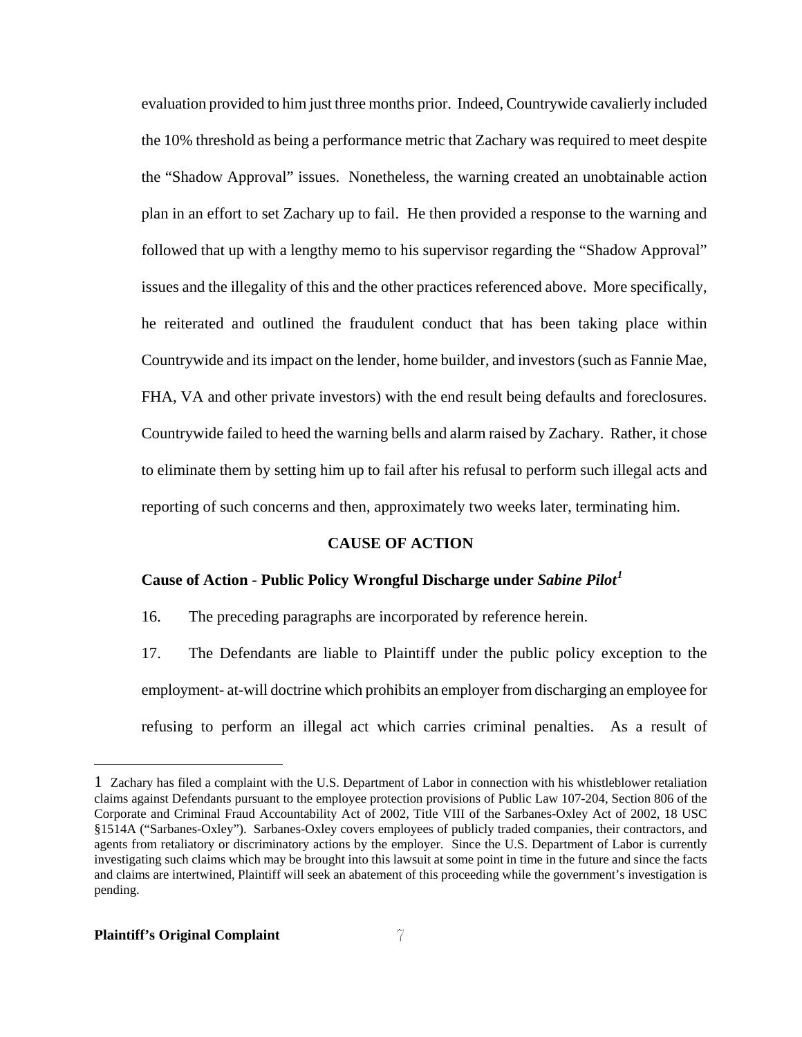evaluation provided to him just three months prior. Indeed, Countrywide cavalierly included the 10% threshold as being a performance metric that Zachary was required to meet despite the "Shadow Approval" issues. Nonetheless, the warning created an unobtainable action plan in an effort to set Zachary up to fail. He then provided a response to the warning and followed that up with a lengthy memo to his supervisor regarding the "Shadow Approval" issues and the illegality of this and the other practices referenced above. More specifically, he reiterated and outlined the fraudulent conduct that has been taking place within Countrywide and its impact on the lender, home builder, and investors (such as Fannie Mae, FHA, VA and other private investors) with the end result being defaults and foreclosures. Countrywide failed to heed the warning bells and alarm raised by Zachary. Rather, it chose to eliminate them by setting him up to fail after his refusal to perform such illegal acts and reporting of such concerns and then, approximately two weeks later, terminating him.

## **CAUSE OF ACTION**

#### **Cause of Action - Public Policy Wrongful Discharge under** *Sabine Pilot[1](#page-6-0)*

16. The preceding paragraphs are incorporated by reference herein.

17. The Defendants are liable to Plaintiff under the public policy exception to the employment- at-will doctrine which prohibits an employer from discharging an employee for refusing to perform an illegal act which carries criminal penalties. As a result of

<span id="page-6-0"></span><sup>1</sup> Zachary has filed a complaint with the U.S. Department of Labor in connection with his whistleblower retaliation claims against Defendants pursuant to the employee protection provisions of Public Law 107-204, Section 806 of the Corporate and Criminal Fraud Accountability Act of 2002, Title VIII of the Sarbanes-Oxley Act of 2002, 18 USC §1514A ("Sarbanes-Oxley"). Sarbanes-Oxley covers employees of publicly traded companies, their contractors, and agents from retaliatory or discriminatory actions by the employer. Since the U.S. Department of Labor is currently investigating such claims which may be brought into this lawsuit at some point in time in the future and since the facts and claims are intertwined, Plaintiff will seek an abatement of this proceeding while the government's investigation is pending.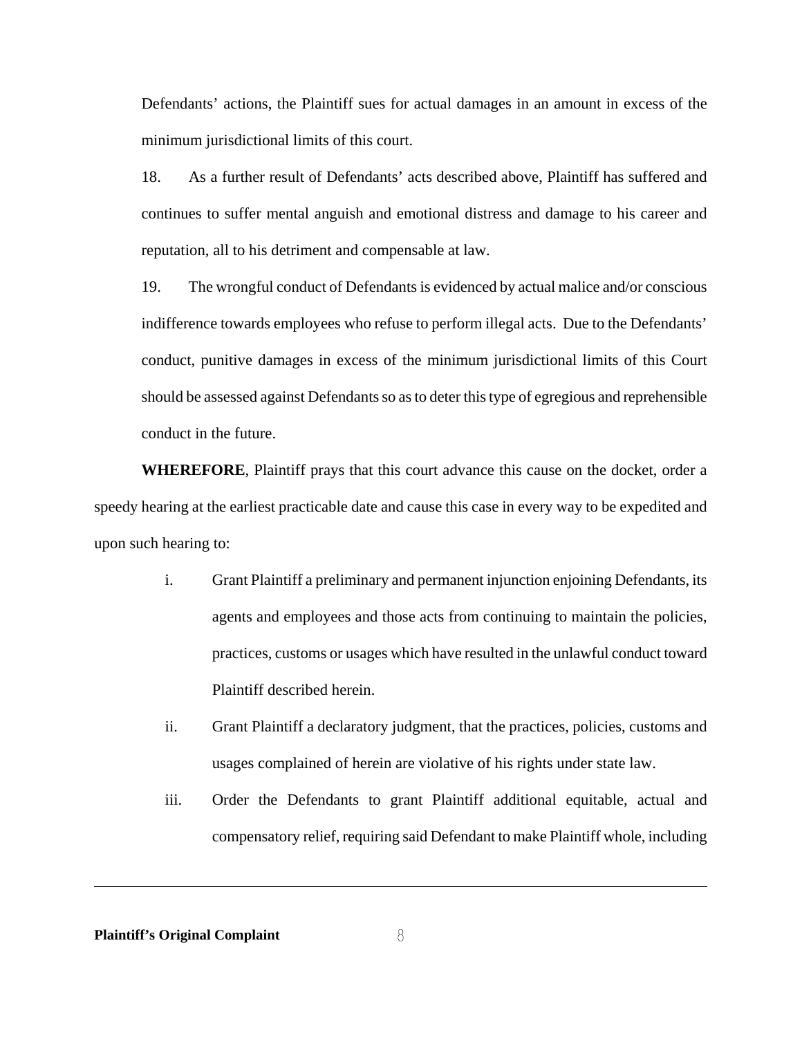Defendants' actions, the Plaintiff sues for actual damages in an amount in excess of the minimum jurisdictional limits of this court.

18. As a further result of Defendants' acts described above, Plaintiff has suffered and continues to suffer mental anguish and emotional distress and damage to his career and reputation, all to his detriment and compensable at law.

19. The wrongful conduct of Defendants is evidenced by actual malice and/or conscious indifference towards employees who refuse to perform illegal acts. Due to the Defendants' conduct, punitive damages in excess of the minimum jurisdictional limits of this Court should be assessed against Defendants so as to deter this type of egregious and reprehensible conduct in the future.

**WHEREFORE**, Plaintiff prays that this court advance this cause on the docket, order a speedy hearing at the earliest practicable date and cause this case in every way to be expedited and upon such hearing to:

- i. Grant Plaintiff a preliminary and permanent injunction enjoining Defendants, its agents and employees and those acts from continuing to maintain the policies, practices, customs or usages which have resulted in the unlawful conduct toward Plaintiff described herein.
- ii. Grant Plaintiff a declaratory judgment, that the practices, policies, customs and usages complained of herein are violative of his rights under state law.
- iii. Order the Defendants to grant Plaintiff additional equitable, actual and compensatory relief, requiring said Defendant to make Plaintiff whole, including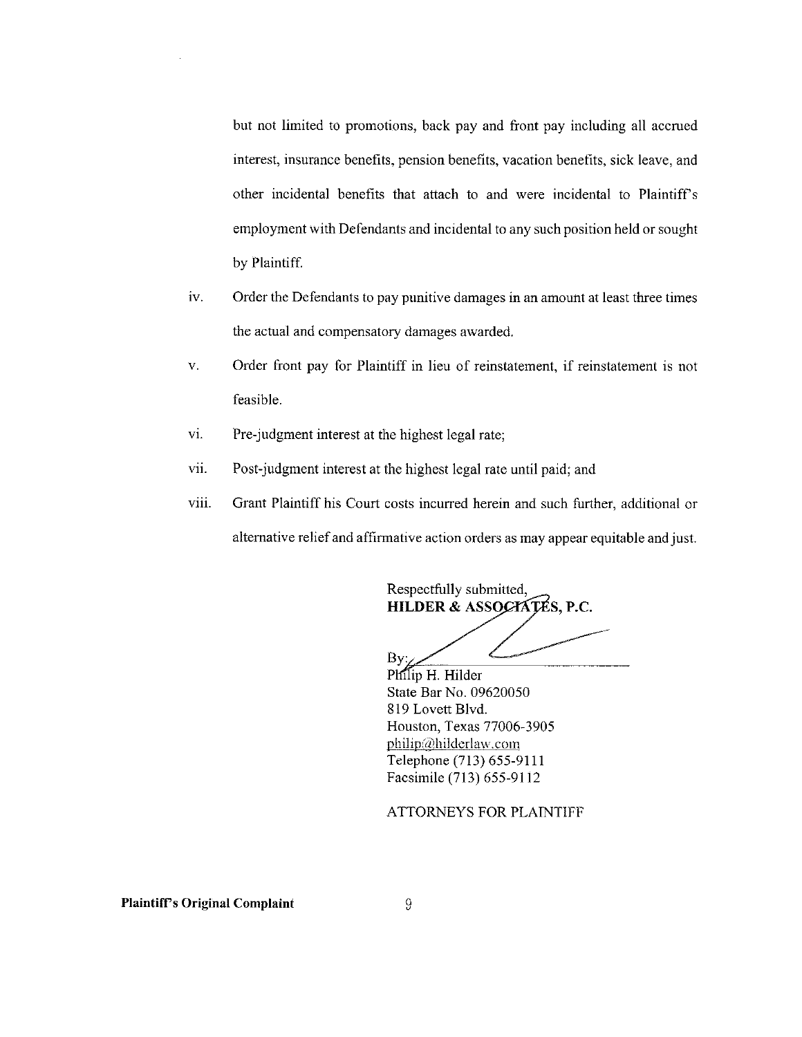but not limited to promotions, back pay and front pay including all accrued interest, insurance benefits, pension benefits, vacation benefits, sick leave, and other incidental benefits that attach to and were incidental to Plaintiff's employment with Defendants and incidental to any such position held or sought by Plaintiff.

- iv. Order the Defendants to pay punitive damages in an amount at least three times the actual and compensatory damages awarded.
- Order front pay for Plaintiff in lieu of reinstatement, if reinstatement is not  $\mathbf{V}_*$ feasible.
- vi. Pre-judgment interest at the highest legal rate;
- vii. Post-judgment interest at the highest legal rate until paid; and
- Grant Plaintiff his Court costs incurred herein and such further, additional or viii. alternative relief and affirmative action orders as may appear equitable and just.

Respectfully submitted, HILDER & ASSOCIATÉS, P.C.

Bv:

Philip H. Hilder State Bar No. 09620050 819 Lovett Blvd. Houston, Texas 77006-3905 philip@hilderlaw.com Telephone (713) 655-9111 Facsimile (713) 655-9112

ATTORNEYS FOR PLAINTIFF